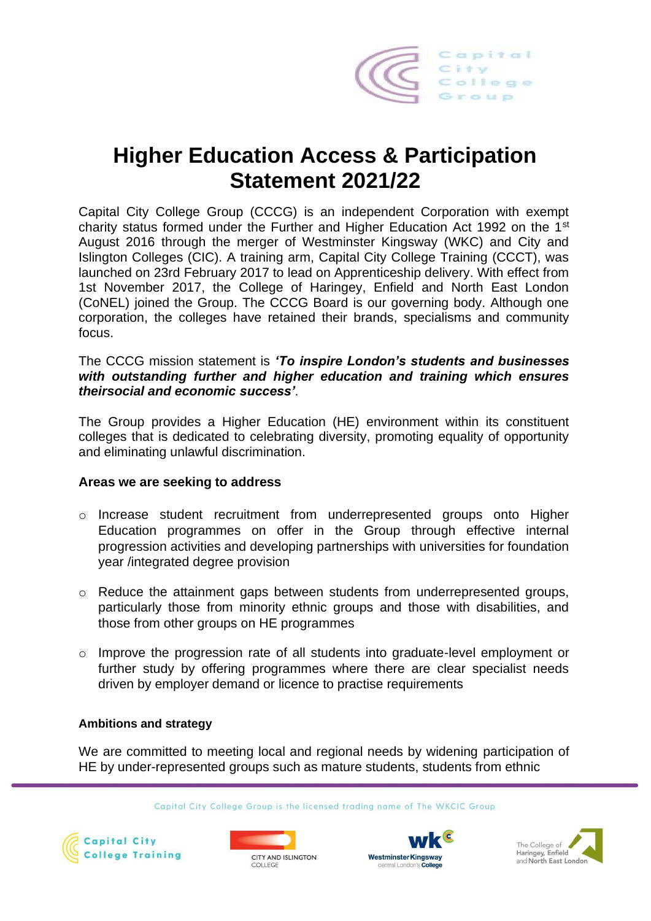

# **Higher Education Access & Participation Statement 2021/22**

Capital City College Group (CCCG) is an independent Corporation with exempt charity status formed under the Further and Higher Education Act 1992 on the 1st August 2016 through the merger of Westminster Kingsway (WKC) and City and Islington Colleges (CIC). A training arm, Capital City College Training (CCCT), was launched on 23rd February 2017 to lead on Apprenticeship delivery. With effect from 1st November 2017, the College of Haringey, Enfield and North East London (CoNEL) joined the Group. The CCCG Board is our governing body. Although one corporation, the colleges have retained their brands, specialisms and community focus.

# The CCCG mission statement is *'To inspire London's students and businesses with outstanding further and higher education and training which ensures theirsocial and economic success'*.

The Group provides a Higher Education (HE) environment within its constituent colleges that is dedicated to celebrating diversity, promoting equality of opportunity and eliminating unlawful discrimination.

# **Areas we are seeking to address**

- o Increase student recruitment from underrepresented groups onto Higher Education programmes on offer in the Group through effective internal progression activities and developing partnerships with universities for foundation year /integrated degree provision
- $\circ$  Reduce the attainment gaps between students from underrepresented groups, particularly those from minority ethnic groups and those with disabilities, and those from other groups on HE programmes
- $\circ$  Improve the progression rate of all students into graduate-level employment or further study by offering programmes where there are clear specialist needs driven by employer demand or licence to practise requirements

# **Ambitions and strategy**

We are committed to meeting local and regional needs by widening participation of HE by under-represented groups such as mature students, students from ethnic

Capital City College Group is the licensed trading name of The WKCIC Group







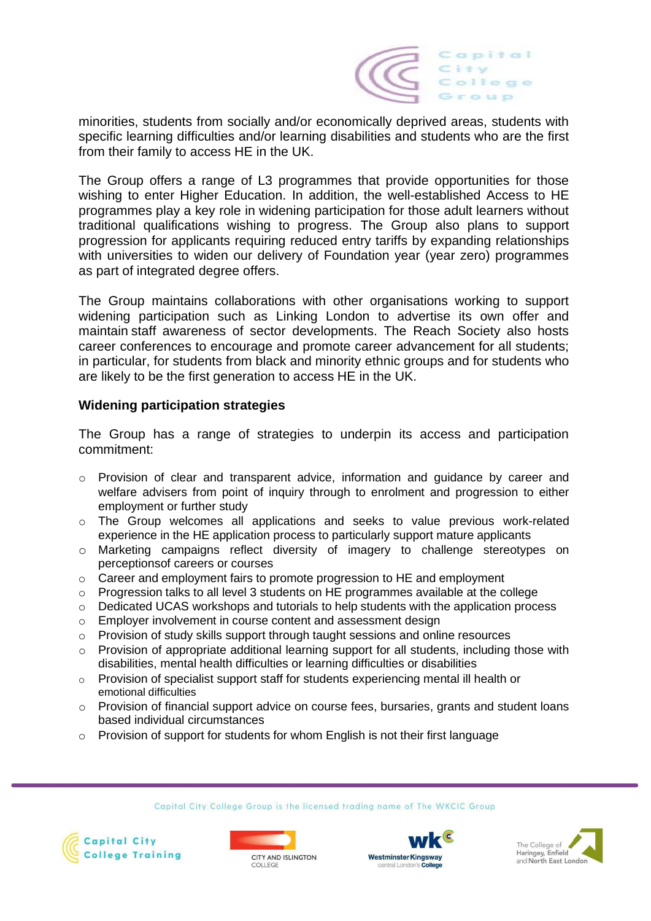

minorities, students from socially and/or economically deprived areas, students with specific learning difficulties and/or learning disabilities and students who are the first from their family to access HE in the UK.

The Group offers a range of L3 programmes that provide opportunities for those wishing to enter Higher Education. In addition, the well-established Access to HE programmes play a key role in widening participation for those adult learners without traditional qualifications wishing to progress. The Group also plans to support progression for applicants requiring reduced entry tariffs by expanding relationships with universities to widen our delivery of Foundation year (year zero) programmes as part of integrated degree offers.

The Group maintains collaborations with other organisations working to support widening participation such as Linking London to advertise its own offer and maintain staff awareness of sector developments. The Reach Society also hosts career conferences to encourage and promote career advancement for all students; in particular, for students from black and minority ethnic groups and for students who are likely to be the first generation to access HE in the UK.

# **Widening participation strategies**

The Group has a range of strategies to underpin its access and participation commitment:

- o Provision of clear and transparent advice, information and guidance by career and welfare advisers from point of inquiry through to enrolment and progression to either employment or further study
- o The Group welcomes all applications and seeks to value previous work-related experience in the HE application process to particularly support mature applicants
- o Marketing campaigns reflect diversity of imagery to challenge stereotypes on perceptionsof careers or courses
- $\circ$  Career and employment fairs to promote progression to HE and employment
- $\circ$  Progression talks to all level 3 students on HE programmes available at the college
- $\circ$  Dedicated UCAS workshops and tutorials to help students with the application process
- o Employer involvement in course content and assessment design
- $\circ$  Provision of study skills support through taught sessions and online resources
- o Provision of appropriate additional learning support for all students, including those with disabilities, mental health difficulties or learning difficulties or disabilities
- $\circ$  Provision of specialist support staff for students experiencing mental ill health or emotional difficulties
- $\circ$  Provision of financial support advice on course fees, bursaries, grants and student loans based individual circumstances
- $\circ$  Provision of support for students for whom English is not their first language

Capital City College Group is the licensed trading name of The WKCIC Group